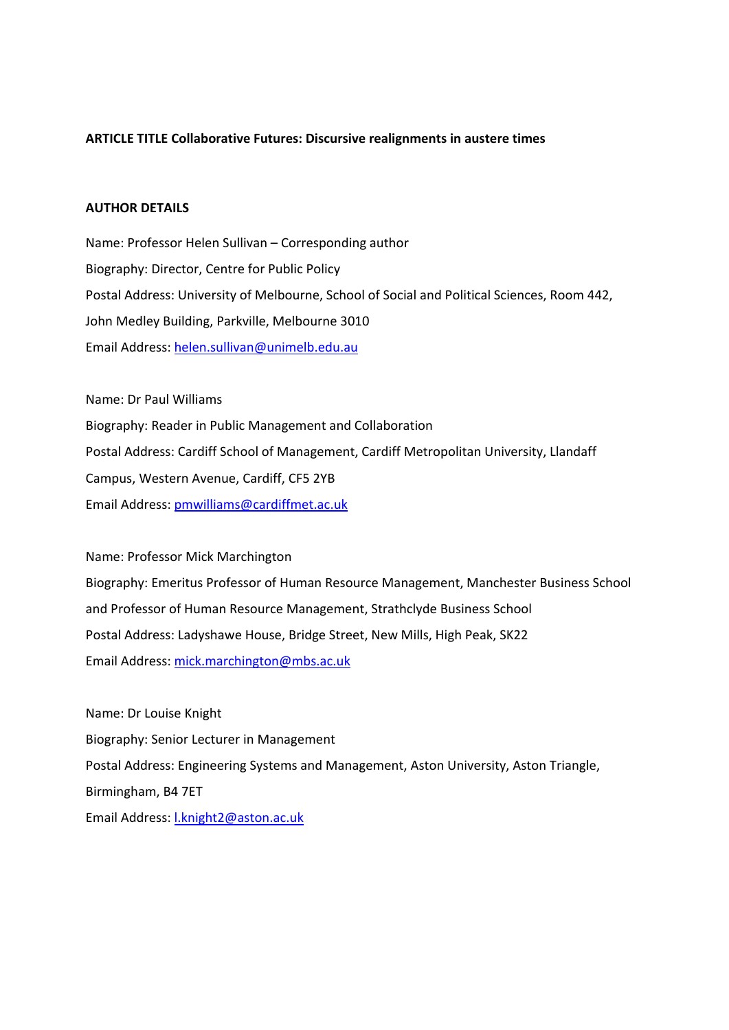# **ARTICLE TITLE Collaborative Futures: Discursive realignments in austere times**

## **AUTHOR DETAILS**

Name: Professor Helen Sullivan – Corresponding author Biography: Director, Centre for Public Policy Postal Address: University of Melbourne, School of Social and Political Sciences, Room 442, John Medley Building, Parkville, Melbourne 3010 Email Address: helen.sullivan@unimelb.edu.au

Name: Dr Paul Williams Biography: Reader in Public Management and Collaboration Postal Address: Cardiff School of Management, Cardiff Metropolitan University, Llandaff Campus, Western Avenue, Cardiff, CF5 2YB Email Address: pmwilliams@cardiffmet.ac.uk

Name: Professor Mick Marchington Biography: Emeritus Professor of Human Resource Management, Manchester Business School and Professor of Human Resource Management, Strathclyde Business School Postal Address: Ladyshawe House, Bridge Street, New Mills, High Peak, SK22 Email Address: mick.marchington@mbs.ac.uk

Name: Dr Louise Knight Biography: Senior Lecturer in Management Postal Address: Engineering Systems and Management, Aston University, Aston Triangle, Birmingham, B4 7ET Email Address: l.knight2@aston.ac.uk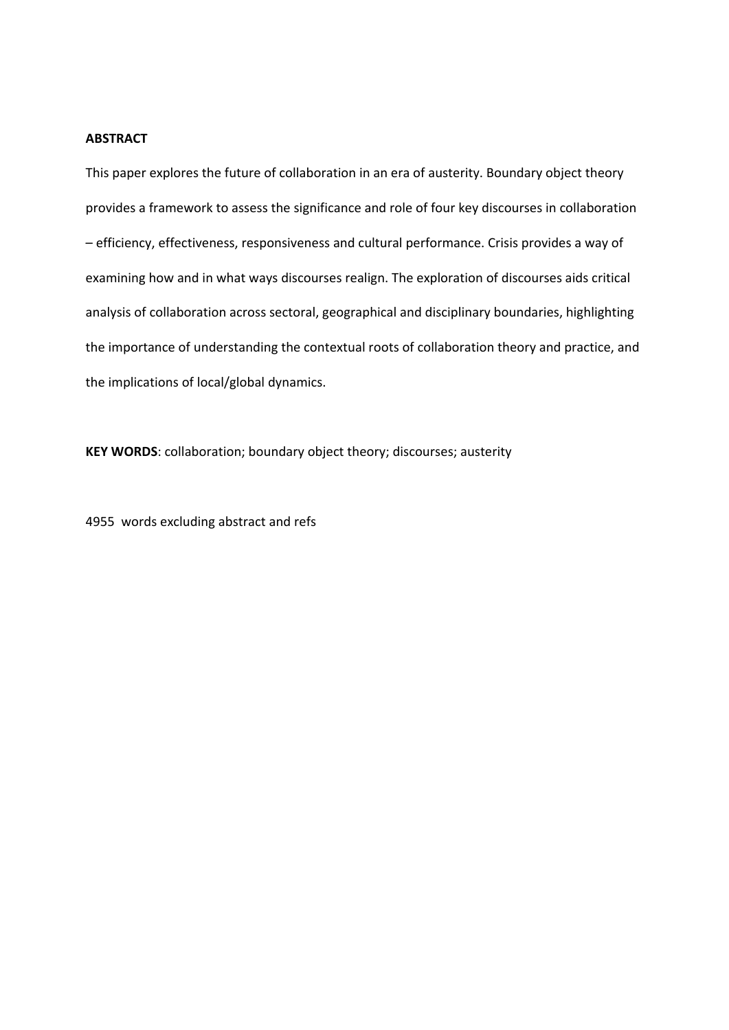# **ABSTRACT**

This paper explores the future of collaboration in an era of austerity. Boundary object theory provides a framework to assess the significance and role of four key discourses in collaboration – efficiency, effectiveness, responsiveness and cultural performance. Crisis provides a way of examining how and in what ways discourses realign. The exploration of discourses aids critical analysis of collaboration across sectoral, geographical and disciplinary boundaries, highlighting the importance of understanding the contextual roots of collaboration theory and practice, and the implications of local/global dynamics.

**KEY WORDS**: collaboration; boundary object theory; discourses; austerity

4955 words excluding abstract and refs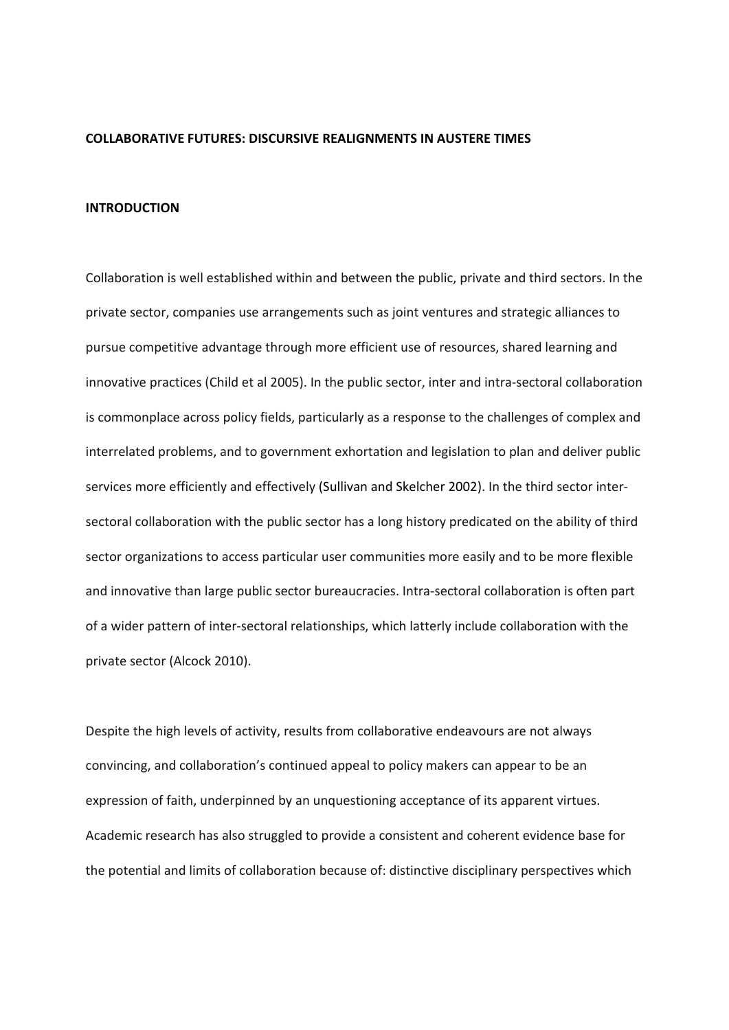### **COLLABORATIVE FUTURES: DISCURSIVE REALIGNMENTS IN AUSTERE TIMES**

## **INTRODUCTION**

Collaboration is well established within and between the public, private and third sectors. In the private sector, companies use arrangements such as joint ventures and strategic alliances to pursue competitive advantage through more efficient use of resources, shared learning and innovative practices (Child et al 2005). In the public sector, inter and intra‐sectoral collaboration is commonplace across policy fields, particularly as a response to the challenges of complex and interrelated problems, and to government exhortation and legislation to plan and deliver public services more efficiently and effectively (Sullivan and Skelcher 2002). In the third sector inter‐ sectoral collaboration with the public sector has a long history predicated on the ability of third sector organizations to access particular user communities more easily and to be more flexible and innovative than large public sector bureaucracies. Intra‐sectoral collaboration is often part of a wider pattern of inter‐sectoral relationships, which latterly include collaboration with the private sector (Alcock 2010).

Despite the high levels of activity, results from collaborative endeavours are not always convincing, and collaboration's continued appeal to policy makers can appear to be an expression of faith, underpinned by an unquestioning acceptance of its apparent virtues. Academic research has also struggled to provide a consistent and coherent evidence base for the potential and limits of collaboration because of: distinctive disciplinary perspectives which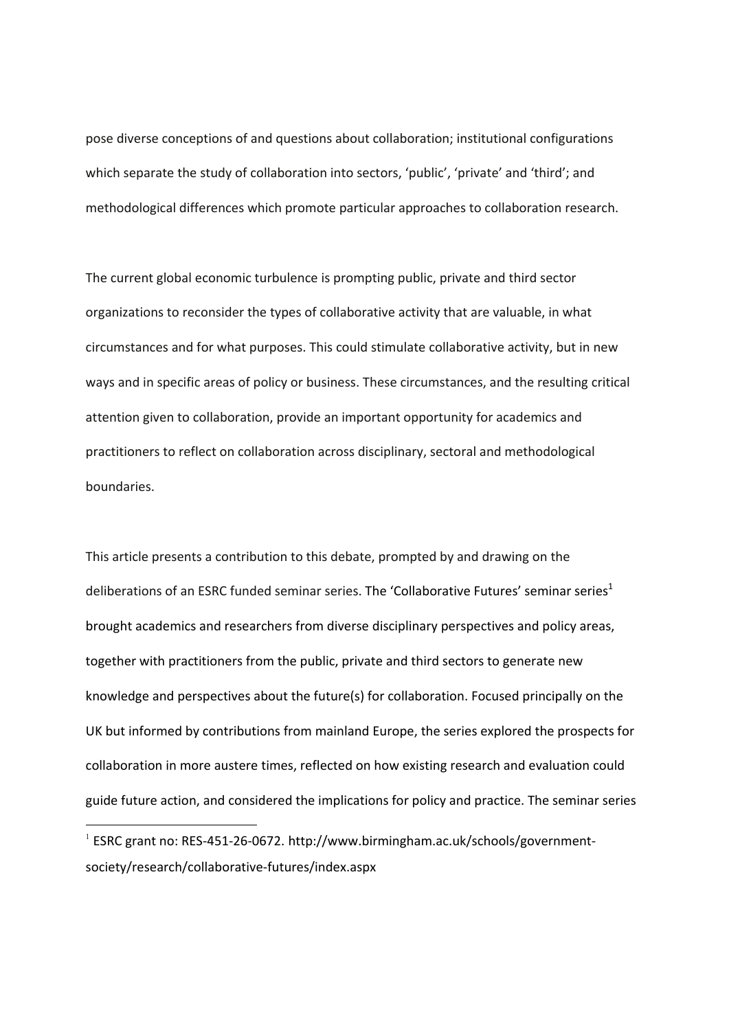pose diverse conceptions of and questions about collaboration; institutional configurations which separate the study of collaboration into sectors, 'public', 'private' and 'third'; and methodological differences which promote particular approaches to collaboration research.

The current global economic turbulence is prompting public, private and third sector organizations to reconsider the types of collaborative activity that are valuable, in what circumstances and for what purposes. This could stimulate collaborative activity, but in new ways and in specific areas of policy or business. These circumstances, and the resulting critical attention given to collaboration, provide an important opportunity for academics and practitioners to reflect on collaboration across disciplinary, sectoral and methodological boundaries.

This article presents a contribution to this debate, prompted by and drawing on the deliberations of an ESRC funded seminar series. The 'Collaborative Futures' seminar series<sup>1</sup> brought academics and researchers from diverse disciplinary perspectives and policy areas, together with practitioners from the public, private and third sectors to generate new knowledge and perspectives about the future(s) for collaboration. Focused principally on the UK but informed by contributions from mainland Europe, the series explored the prospects for collaboration in more austere times, reflected on how existing research and evaluation could guide future action, and considered the implications for policy and practice. The seminar series

-

<sup>&</sup>lt;sup>1</sup> ESRC grant no: RES-451-26-0672. http://www.birmingham.ac.uk/schools/governmentsociety/research/collaborative‐futures/index.aspx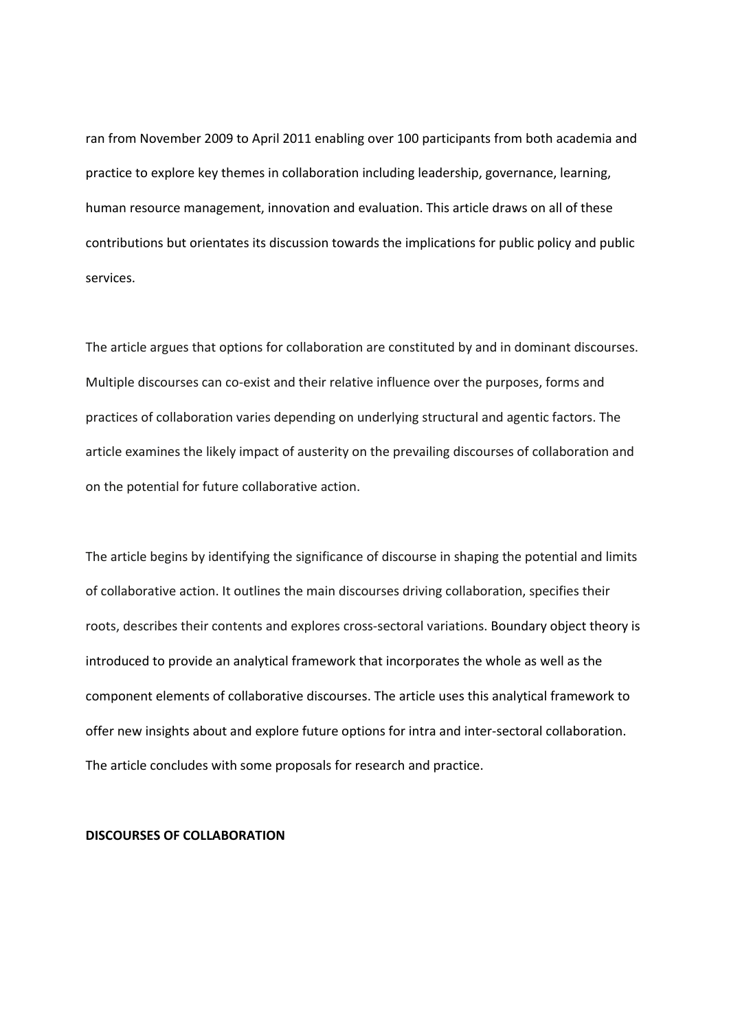ran from November 2009 to April 2011 enabling over 100 participants from both academia and practice to explore key themes in collaboration including leadership, governance, learning, human resource management, innovation and evaluation. This article draws on all of these contributions but orientates its discussion towards the implications for public policy and public services.

The article argues that options for collaboration are constituted by and in dominant discourses. Multiple discourses can co-exist and their relative influence over the purposes, forms and practices of collaboration varies depending on underlying structural and agentic factors. The article examines the likely impact of austerity on the prevailing discourses of collaboration and on the potential for future collaborative action.

The article begins by identifying the significance of discourse in shaping the potential and limits of collaborative action. It outlines the main discourses driving collaboration, specifies their roots, describes their contents and explores cross‐sectoral variations. Boundary object theory is introduced to provide an analytical framework that incorporates the whole as well as the component elements of collaborative discourses. The article uses this analytical framework to offer new insights about and explore future options for intra and inter‐sectoral collaboration. The article concludes with some proposals for research and practice.

# **DISCOURSES OF COLLABORATION**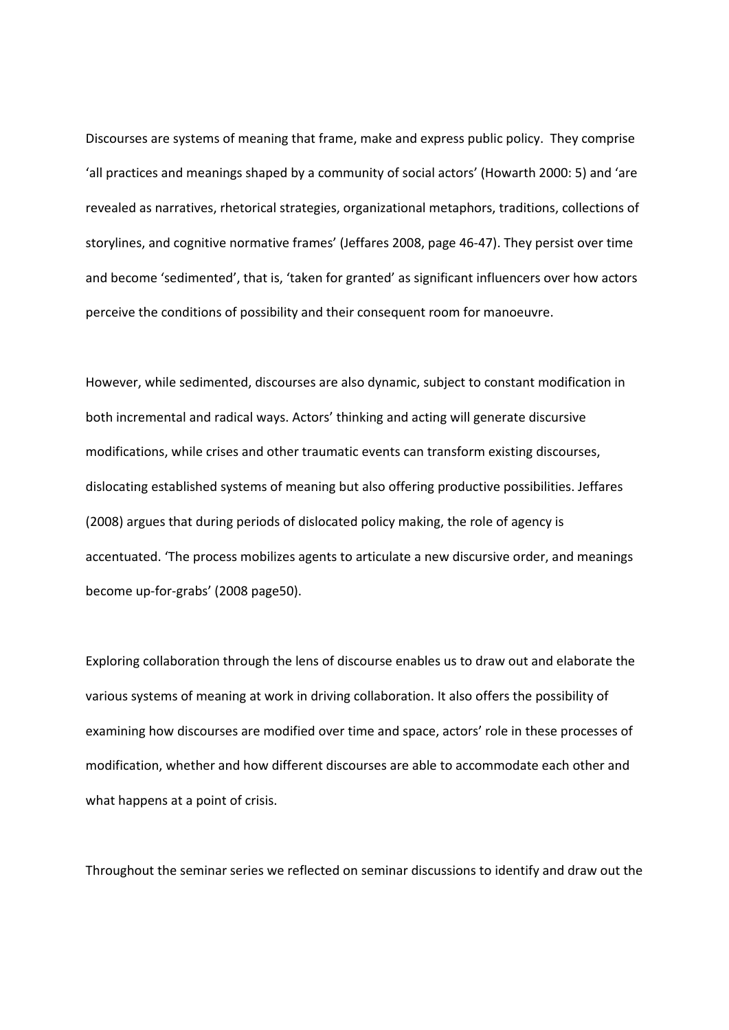Discourses are systems of meaning that frame, make and express public policy. They comprise 'all practices and meanings shaped by a community of social actors' (Howarth 2000: 5) and 'are revealed as narratives, rhetorical strategies, organizational metaphors, traditions, collections of storylines, and cognitive normative frames' (Jeffares 2008, page 46‐47). They persist over time and become 'sedimented', that is, 'taken for granted' as significant influencers over how actors perceive the conditions of possibility and their consequent room for manoeuvre.

However, while sedimented, discourses are also dynamic, subject to constant modification in both incremental and radical ways. Actors' thinking and acting will generate discursive modifications, while crises and other traumatic events can transform existing discourses, dislocating established systems of meaning but also offering productive possibilities. Jeffares (2008) argues that during periods of dislocated policy making, the role of agency is accentuated. 'The process mobilizes agents to articulate a new discursive order, and meanings become up‐for‐grabs' (2008 page50).

Exploring collaboration through the lens of discourse enables us to draw out and elaborate the various systems of meaning at work in driving collaboration. It also offers the possibility of examining how discourses are modified over time and space, actors' role in these processes of modification, whether and how different discourses are able to accommodate each other and what happens at a point of crisis.

Throughout the seminar series we reflected on seminar discussions to identify and draw out the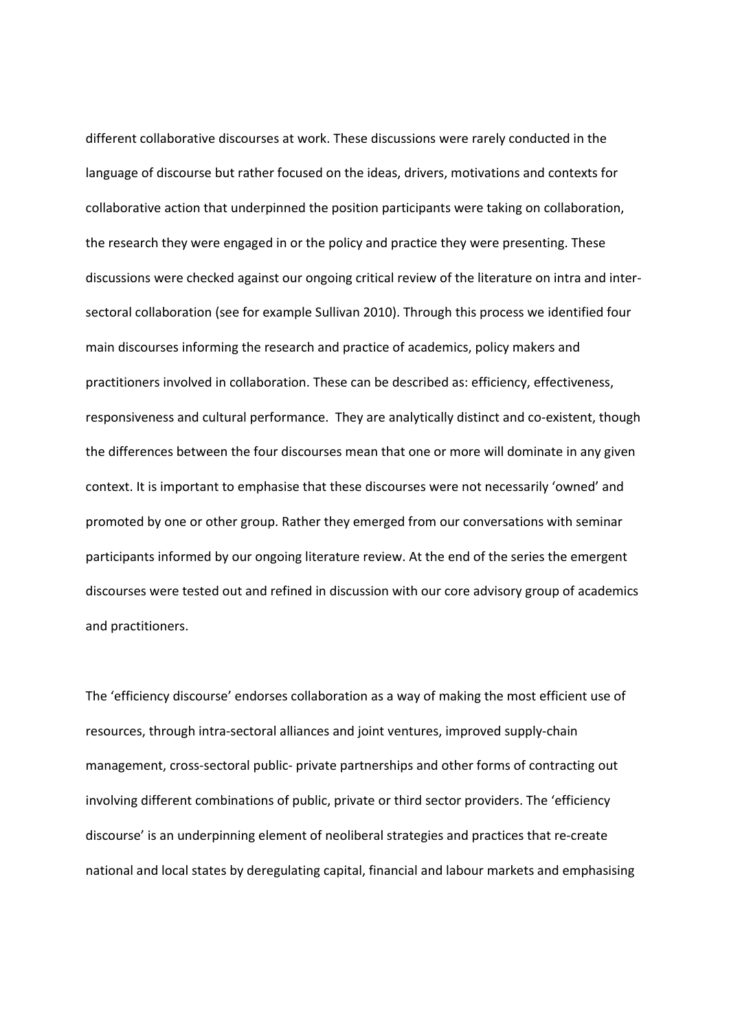different collaborative discourses at work. These discussions were rarely conducted in the language of discourse but rather focused on the ideas, drivers, motivations and contexts for collaborative action that underpinned the position participants were taking on collaboration, the research they were engaged in or the policy and practice they were presenting. These discussions were checked against our ongoing critical review of the literature on intra and inter‐ sectoral collaboration (see for example Sullivan 2010). Through this process we identified four main discourses informing the research and practice of academics, policy makers and practitioners involved in collaboration. These can be described as: efficiency, effectiveness, responsiveness and cultural performance. They are analytically distinct and co‐existent, though the differences between the four discourses mean that one or more will dominate in any given context. It is important to emphasise that these discourses were not necessarily 'owned' and promoted by one or other group. Rather they emerged from our conversations with seminar participants informed by our ongoing literature review. At the end of the series the emergent discourses were tested out and refined in discussion with our core advisory group of academics and practitioners.

The 'efficiency discourse' endorses collaboration as a way of making the most efficient use of resources, through intra‐sectoral alliances and joint ventures, improved supply‐chain management, cross‐sectoral public‐ private partnerships and other forms of contracting out involving different combinations of public, private or third sector providers. The 'efficiency discourse' is an underpinning element of neoliberal strategies and practices that re‐create national and local states by deregulating capital, financial and labour markets and emphasising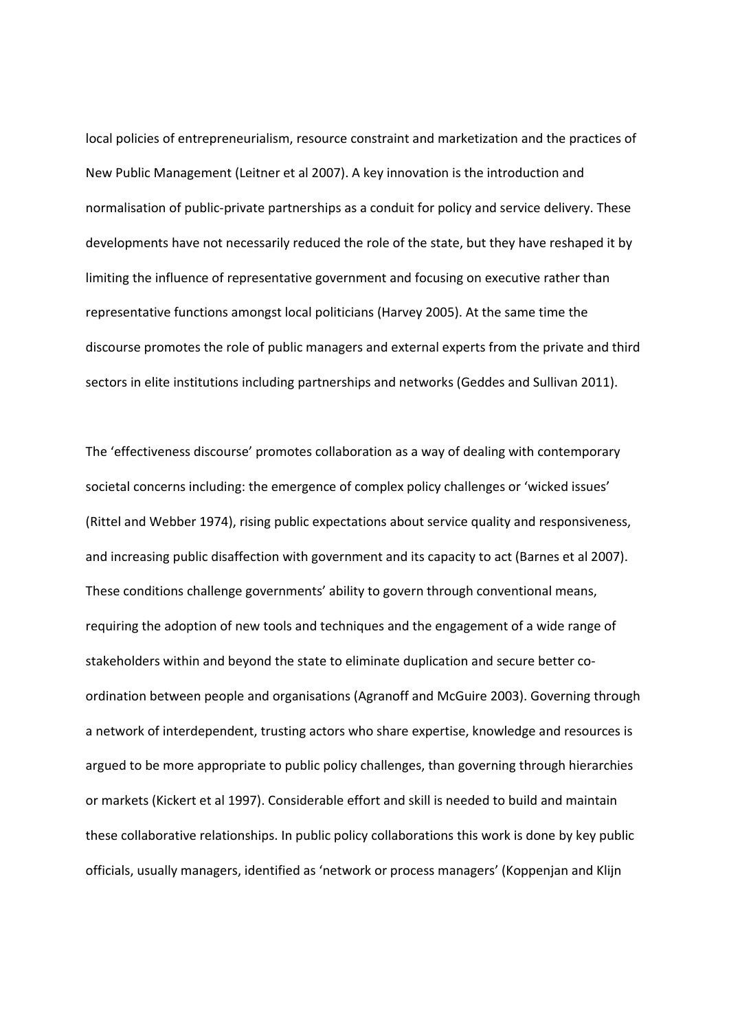local policies of entrepreneurialism, resource constraint and marketization and the practices of New Public Management (Leitner et al 2007). A key innovation is the introduction and normalisation of public‐private partnerships as a conduit for policy and service delivery. These developments have not necessarily reduced the role of the state, but they have reshaped it by limiting the influence of representative government and focusing on executive rather than representative functions amongst local politicians (Harvey 2005). At the same time the discourse promotes the role of public managers and external experts from the private and third sectors in elite institutions including partnerships and networks (Geddes and Sullivan 2011).

The 'effectiveness discourse' promotes collaboration as a way of dealing with contemporary societal concerns including: the emergence of complex policy challenges or 'wicked issues' (Rittel and Webber 1974), rising public expectations about service quality and responsiveness, and increasing public disaffection with government and its capacity to act (Barnes et al 2007). These conditions challenge governments' ability to govern through conventional means, requiring the adoption of new tools and techniques and the engagement of a wide range of stakeholders within and beyond the state to eliminate duplication and secure better co‐ ordination between people and organisations (Agranoff and McGuire 2003). Governing through a network of interdependent, trusting actors who share expertise, knowledge and resources is argued to be more appropriate to public policy challenges, than governing through hierarchies or markets (Kickert et al 1997). Considerable effort and skill is needed to build and maintain these collaborative relationships. In public policy collaborations this work is done by key public officials, usually managers, identified as 'network or process managers' (Koppenjan and Klijn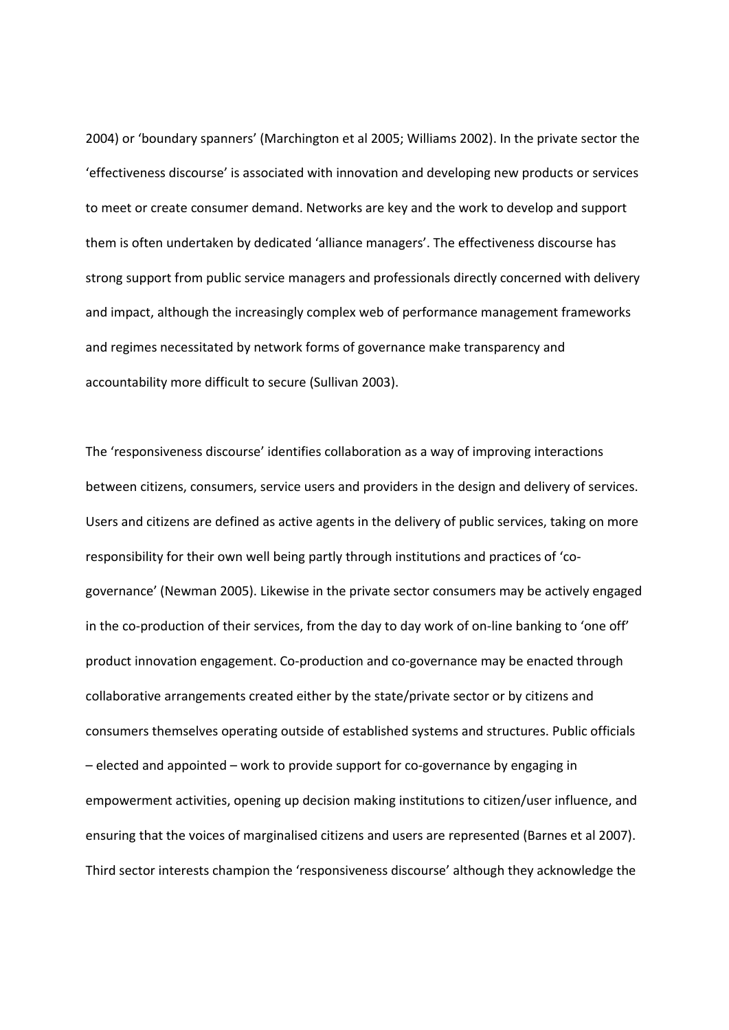2004) or 'boundary spanners' (Marchington et al 2005; Williams 2002). In the private sector the 'effectiveness discourse' is associated with innovation and developing new products or services to meet or create consumer demand. Networks are key and the work to develop and support them is often undertaken by dedicated 'alliance managers'. The effectiveness discourse has strong support from public service managers and professionals directly concerned with delivery and impact, although the increasingly complex web of performance management frameworks and regimes necessitated by network forms of governance make transparency and accountability more difficult to secure (Sullivan 2003).

The 'responsiveness discourse' identifies collaboration as a way of improving interactions between citizens, consumers, service users and providers in the design and delivery of services. Users and citizens are defined as active agents in the delivery of public services, taking on more responsibility for their own well being partly through institutions and practices of 'cogovernance' (Newman 2005). Likewise in the private sector consumers may be actively engaged in the co-production of their services, from the day to day work of on-line banking to 'one off' product innovation engagement. Co‐production and co‐governance may be enacted through collaborative arrangements created either by the state/private sector or by citizens and consumers themselves operating outside of established systems and structures. Public officials – elected and appointed – work to provide support for co‐governance by engaging in empowerment activities, opening up decision making institutions to citizen/user influence, and ensuring that the voices of marginalised citizens and users are represented (Barnes et al 2007). Third sector interests champion the 'responsiveness discourse' although they acknowledge the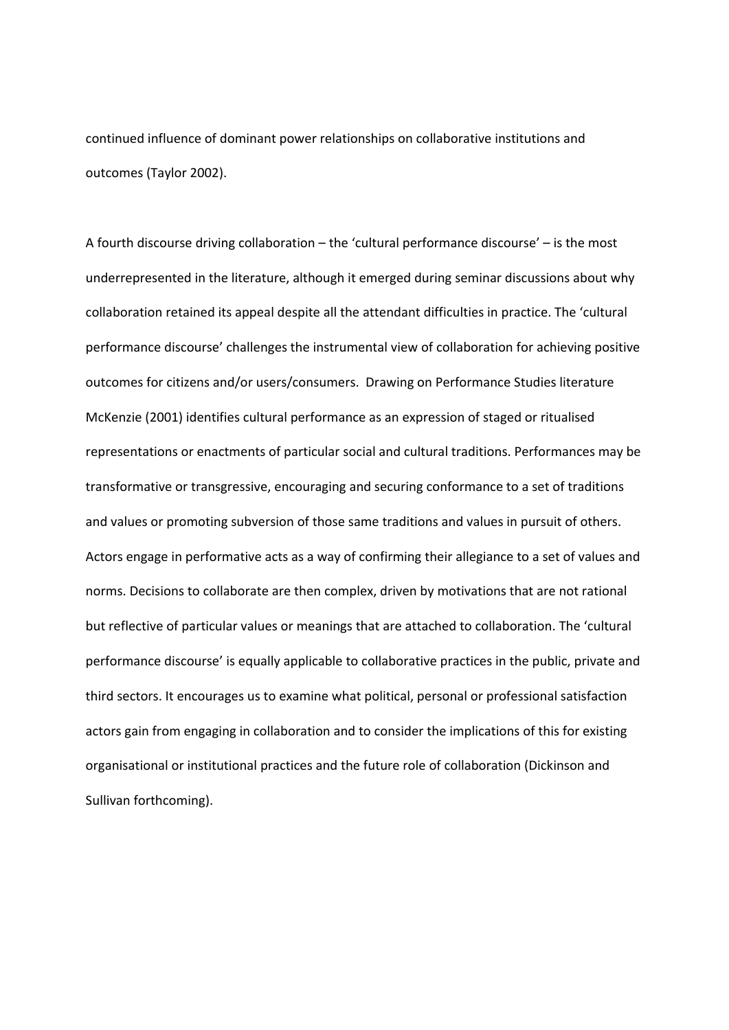continued influence of dominant power relationships on collaborative institutions and outcomes (Taylor 2002).

A fourth discourse driving collaboration – the 'cultural performance discourse' – is the most underrepresented in the literature, although it emerged during seminar discussions about why collaboration retained its appeal despite all the attendant difficulties in practice. The 'cultural performance discourse' challenges the instrumental view of collaboration for achieving positive outcomes for citizens and/or users/consumers. Drawing on Performance Studies literature McKenzie (2001) identifies cultural performance as an expression of staged or ritualised representations or enactments of particular social and cultural traditions. Performances may be transformative or transgressive, encouraging and securing conformance to a set of traditions and values or promoting subversion of those same traditions and values in pursuit of others. Actors engage in performative acts as a way of confirming their allegiance to a set of values and norms. Decisions to collaborate are then complex, driven by motivations that are not rational but reflective of particular values or meanings that are attached to collaboration. The 'cultural performance discourse' is equally applicable to collaborative practices in the public, private and third sectors. It encourages us to examine what political, personal or professional satisfaction actors gain from engaging in collaboration and to consider the implications of this for existing organisational or institutional practices and the future role of collaboration (Dickinson and Sullivan forthcoming).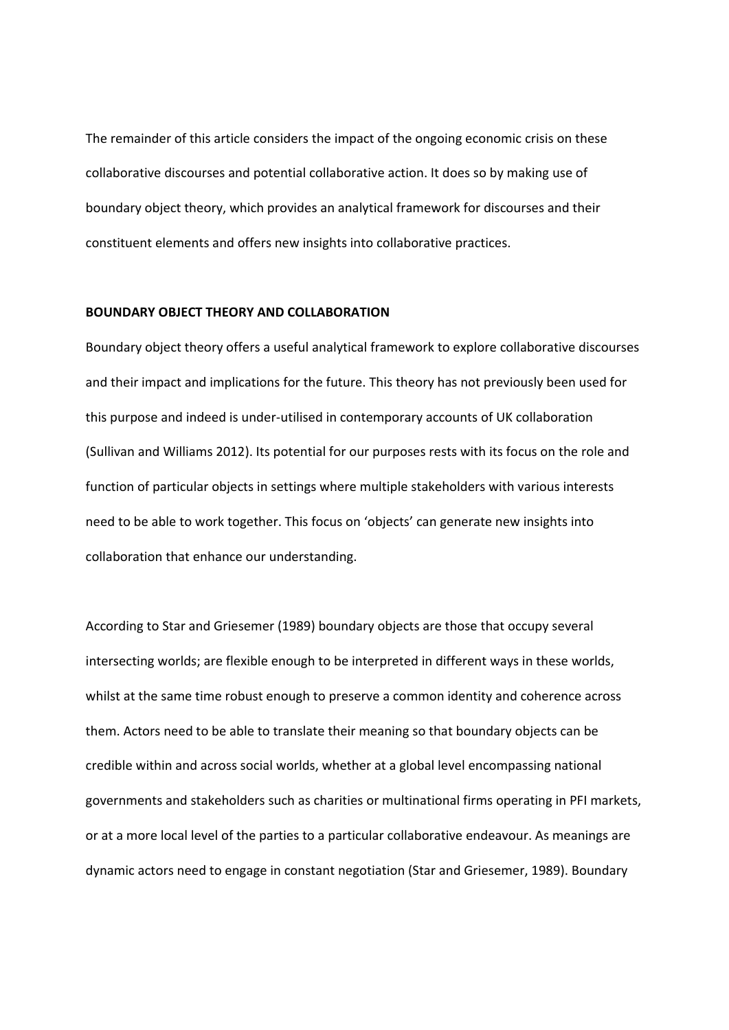The remainder of this article considers the impact of the ongoing economic crisis on these collaborative discourses and potential collaborative action. It does so by making use of boundary object theory, which provides an analytical framework for discourses and their constituent elements and offers new insights into collaborative practices.

### **BOUNDARY OBJECT THEORY AND COLLABORATION**

Boundary object theory offers a useful analytical framework to explore collaborative discourses and their impact and implications for the future. This theory has not previously been used for this purpose and indeed is under‐utilised in contemporary accounts of UK collaboration (Sullivan and Williams 2012). Its potential for our purposes rests with its focus on the role and function of particular objects in settings where multiple stakeholders with various interests need to be able to work together. This focus on 'objects' can generate new insights into collaboration that enhance our understanding.

According to Star and Griesemer (1989) boundary objects are those that occupy several intersecting worlds; are flexible enough to be interpreted in different ways in these worlds, whilst at the same time robust enough to preserve a common identity and coherence across them. Actors need to be able to translate their meaning so that boundary objects can be credible within and across social worlds, whether at a global level encompassing national governments and stakeholders such as charities or multinational firms operating in PFI markets, or at a more local level of the parties to a particular collaborative endeavour. As meanings are dynamic actors need to engage in constant negotiation (Star and Griesemer, 1989). Boundary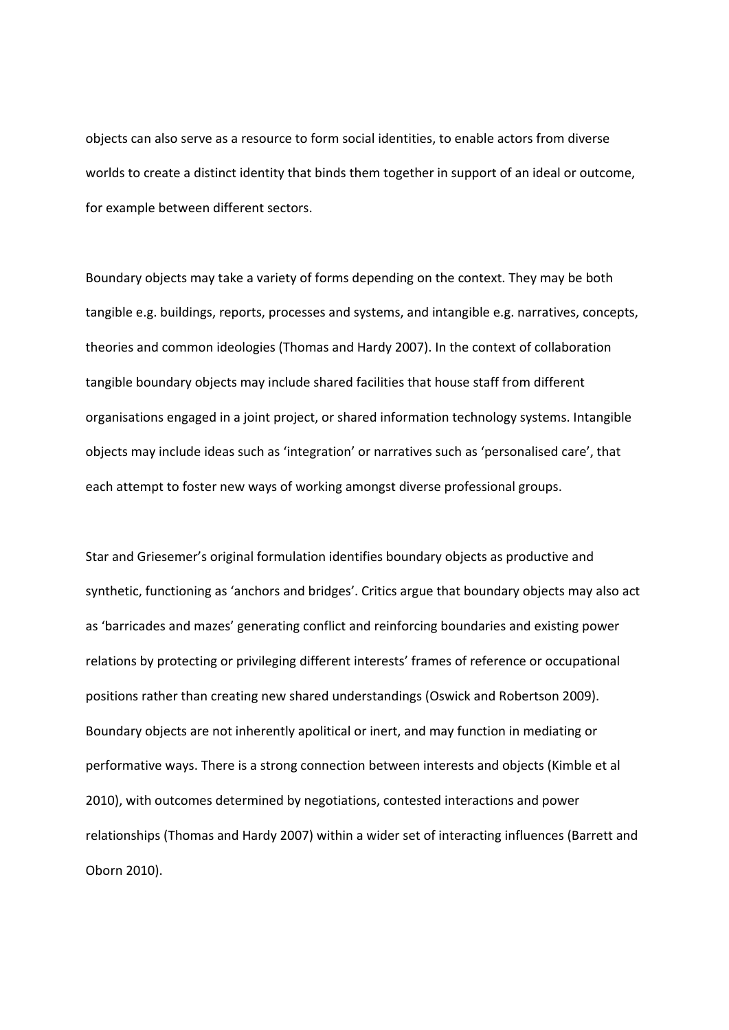objects can also serve as a resource to form social identities, to enable actors from diverse worlds to create a distinct identity that binds them together in support of an ideal or outcome, for example between different sectors.

Boundary objects may take a variety of forms depending on the context. They may be both tangible e.g. buildings, reports, processes and systems, and intangible e.g. narratives, concepts, theories and common ideologies (Thomas and Hardy 2007). In the context of collaboration tangible boundary objects may include shared facilities that house staff from different organisations engaged in a joint project, or shared information technology systems. Intangible objects may include ideas such as 'integration' or narratives such as 'personalised care', that each attempt to foster new ways of working amongst diverse professional groups.

Star and Griesemer's original formulation identifies boundary objects as productive and synthetic, functioning as 'anchors and bridges'. Critics argue that boundary objects may also act as 'barricades and mazes' generating conflict and reinforcing boundaries and existing power relations by protecting or privileging different interests' frames of reference or occupational positions rather than creating new shared understandings (Oswick and Robertson 2009). Boundary objects are not inherently apolitical or inert, and may function in mediating or performative ways. There is a strong connection between interests and objects (Kimble et al 2010), with outcomes determined by negotiations, contested interactions and power relationships (Thomas and Hardy 2007) within a wider set of interacting influences (Barrett and Oborn 2010).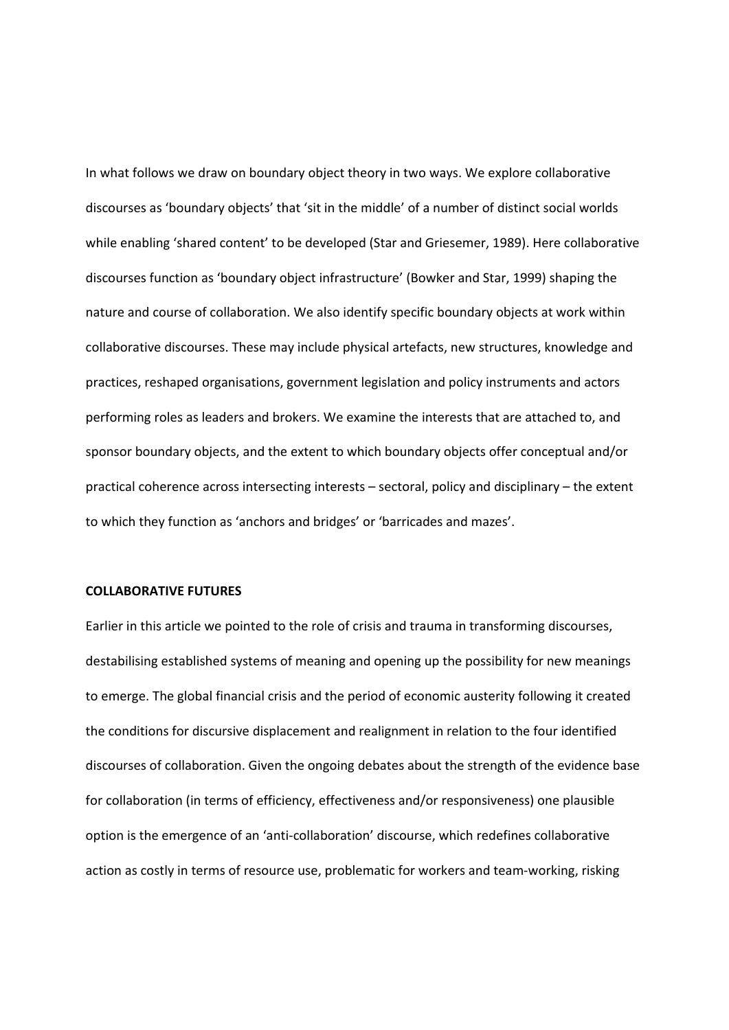In what follows we draw on boundary object theory in two ways. We explore collaborative discourses as 'boundary objects' that 'sit in the middle' of a number of distinct social worlds while enabling 'shared content' to be developed (Star and Griesemer, 1989). Here collaborative discourses function as 'boundary object infrastructure' (Bowker and Star, 1999) shaping the nature and course of collaboration. We also identify specific boundary objects at work within collaborative discourses. These may include physical artefacts, new structures, knowledge and practices, reshaped organisations, government legislation and policy instruments and actors performing roles as leaders and brokers. We examine the interests that are attached to, and sponsor boundary objects, and the extent to which boundary objects offer conceptual and/or practical coherence across intersecting interests – sectoral, policy and disciplinary – the extent to which they function as 'anchors and bridges' or 'barricades and mazes'.

### **COLLABORATIVE FUTURES**

Earlier in this article we pointed to the role of crisis and trauma in transforming discourses, destabilising established systems of meaning and opening up the possibility for new meanings to emerge. The global financial crisis and the period of economic austerity following it created the conditions for discursive displacement and realignment in relation to the four identified discourses of collaboration. Given the ongoing debates about the strength of the evidence base for collaboration (in terms of efficiency, effectiveness and/or responsiveness) one plausible option is the emergence of an 'anti‐collaboration' discourse, which redefines collaborative action as costly in terms of resource use, problematic for workers and team‐working, risking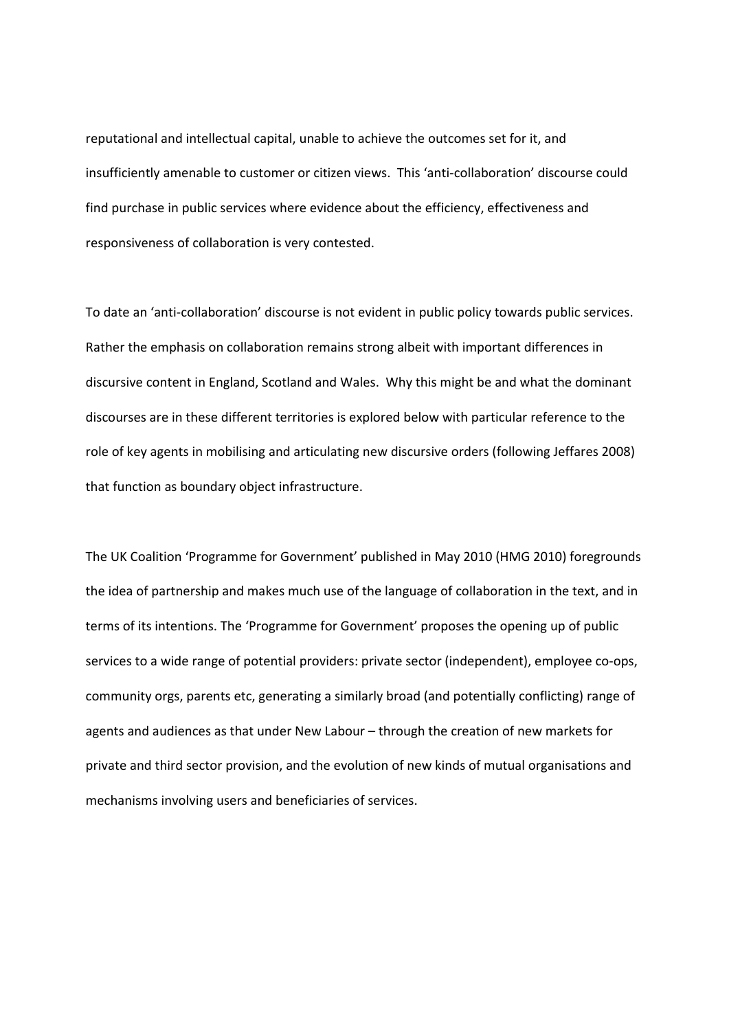reputational and intellectual capital, unable to achieve the outcomes set for it, and insufficiently amenable to customer or citizen views. This 'anti‐collaboration' discourse could find purchase in public services where evidence about the efficiency, effectiveness and responsiveness of collaboration is very contested.

To date an 'anti‐collaboration' discourse is not evident in public policy towards public services. Rather the emphasis on collaboration remains strong albeit with important differences in discursive content in England, Scotland and Wales. Why this might be and what the dominant discourses are in these different territories is explored below with particular reference to the role of key agents in mobilising and articulating new discursive orders (following Jeffares 2008) that function as boundary object infrastructure.

The UK Coalition 'Programme for Government' published in May 2010 (HMG 2010) foregrounds the idea of partnership and makes much use of the language of collaboration in the text, and in terms of its intentions. The 'Programme for Government' proposes the opening up of public services to a wide range of potential providers: private sector (independent), employee co-ops, community orgs, parents etc, generating a similarly broad (and potentially conflicting) range of agents and audiences as that under New Labour – through the creation of new markets for private and third sector provision, and the evolution of new kinds of mutual organisations and mechanisms involving users and beneficiaries of services.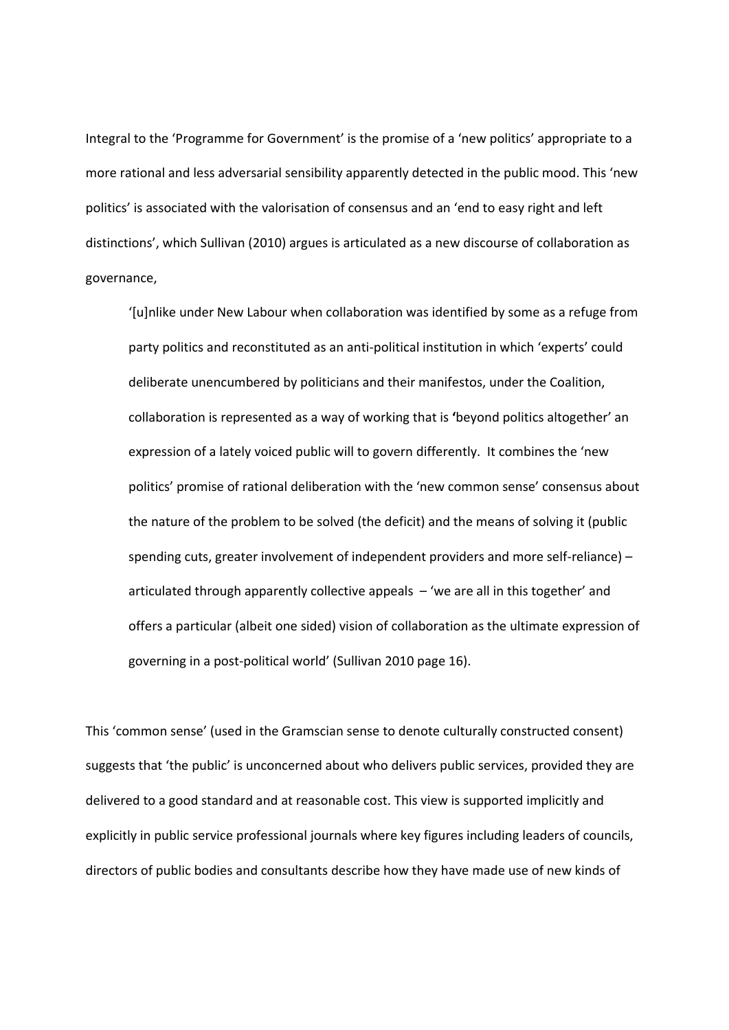Integral to the 'Programme for Government' is the promise of a 'new politics' appropriate to a more rational and less adversarial sensibility apparently detected in the public mood. This 'new politics' is associated with the valorisation of consensus and an 'end to easy right and left distinctions', which Sullivan (2010) argues is articulated as a new discourse of collaboration as governance,

'[u]nlike under New Labour when collaboration was identified by some as a refuge from party politics and reconstituted as an anti‐political institution in which 'experts' could deliberate unencumbered by politicians and their manifestos, under the Coalition, collaboration is represented as a way of working that is **'**beyond politics altogether' an expression of a lately voiced public will to govern differently. It combines the 'new politics' promise of rational deliberation with the 'new common sense' consensus about the nature of the problem to be solved (the deficit) and the means of solving it (public spending cuts, greater involvement of independent providers and more self-reliance) – articulated through apparently collective appeals – 'we are all in this together' and offers a particular (albeit one sided) vision of collaboration as the ultimate expression of governing in a post‐political world' (Sullivan 2010 page 16).

This 'common sense' (used in the Gramscian sense to denote culturally constructed consent) suggests that 'the public' is unconcerned about who delivers public services, provided they are delivered to a good standard and at reasonable cost. This view is supported implicitly and explicitly in public service professional journals where key figures including leaders of councils, directors of public bodies and consultants describe how they have made use of new kinds of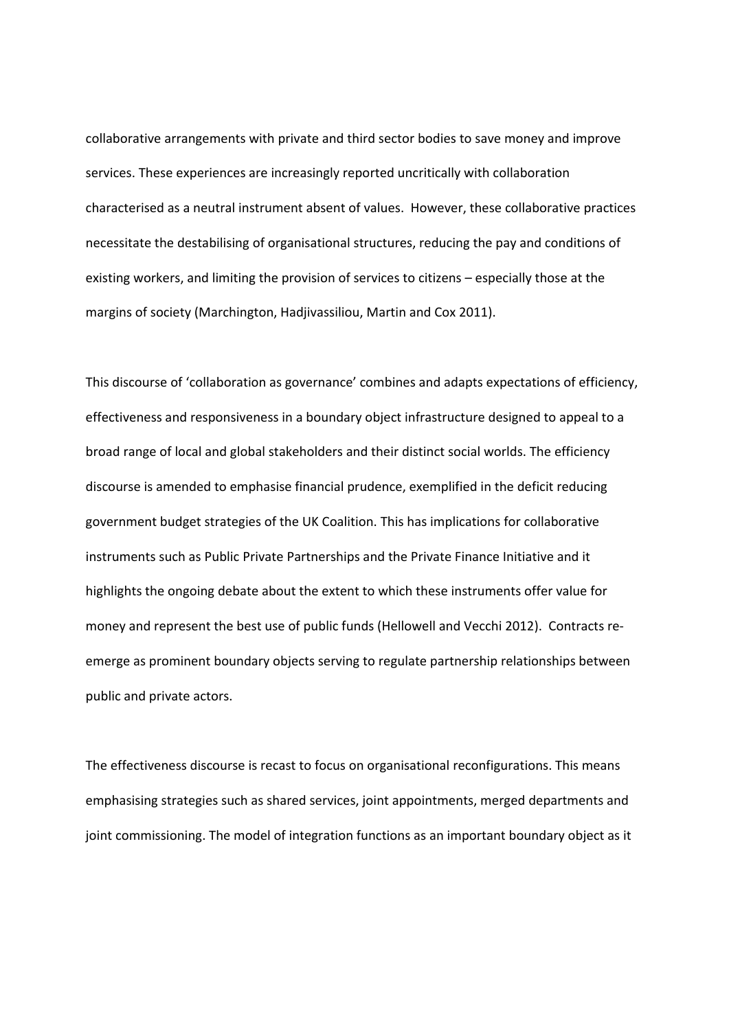collaborative arrangements with private and third sector bodies to save money and improve services. These experiences are increasingly reported uncritically with collaboration characterised as a neutral instrument absent of values. However, these collaborative practices necessitate the destabilising of organisational structures, reducing the pay and conditions of existing workers, and limiting the provision of services to citizens – especially those at the margins of society (Marchington, Hadjivassiliou, Martin and Cox 2011).

This discourse of 'collaboration as governance' combines and adapts expectations of efficiency, effectiveness and responsiveness in a boundary object infrastructure designed to appeal to a broad range of local and global stakeholders and their distinct social worlds. The efficiency discourse is amended to emphasise financial prudence, exemplified in the deficit reducing government budget strategies of the UK Coalition. This has implications for collaborative instruments such as Public Private Partnerships and the Private Finance Initiative and it highlights the ongoing debate about the extent to which these instruments offer value for money and represent the best use of public funds (Hellowell and Vecchi 2012). Contracts re‐ emerge as prominent boundary objects serving to regulate partnership relationships between public and private actors.

The effectiveness discourse is recast to focus on organisational reconfigurations. This means emphasising strategies such as shared services, joint appointments, merged departments and joint commissioning. The model of integration functions as an important boundary object as it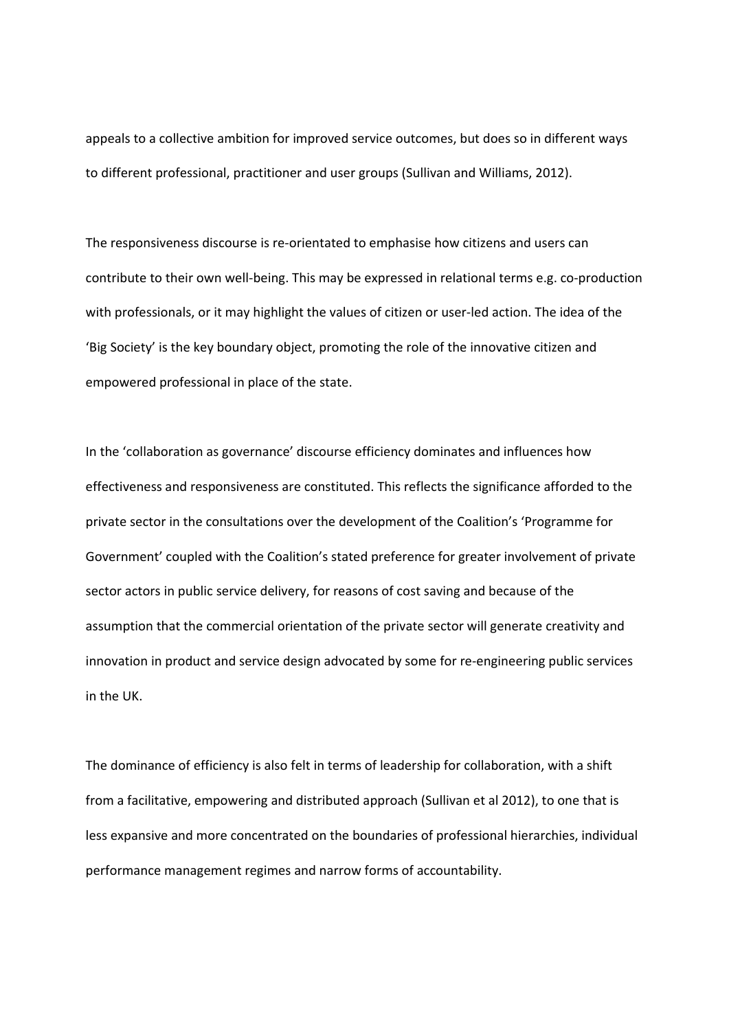appeals to a collective ambition for improved service outcomes, but does so in different ways to different professional, practitioner and user groups (Sullivan and Williams, 2012).

The responsiveness discourse is re‐orientated to emphasise how citizens and users can contribute to their own well-being. This may be expressed in relational terms e.g. co-production with professionals, or it may highlight the values of citizen or user‐led action. The idea of the 'Big Society' is the key boundary object, promoting the role of the innovative citizen and empowered professional in place of the state.

In the 'collaboration as governance' discourse efficiency dominates and influences how effectiveness and responsiveness are constituted. This reflects the significance afforded to the private sector in the consultations over the development of the Coalition's 'Programme for Government' coupled with the Coalition's stated preference for greater involvement of private sector actors in public service delivery, for reasons of cost saving and because of the assumption that the commercial orientation of the private sector will generate creativity and innovation in product and service design advocated by some for re-engineering public services in the UK.

The dominance of efficiency is also felt in terms of leadership for collaboration, with a shift from a facilitative, empowering and distributed approach (Sullivan et al 2012), to one that is less expansive and more concentrated on the boundaries of professional hierarchies, individual performance management regimes and narrow forms of accountability.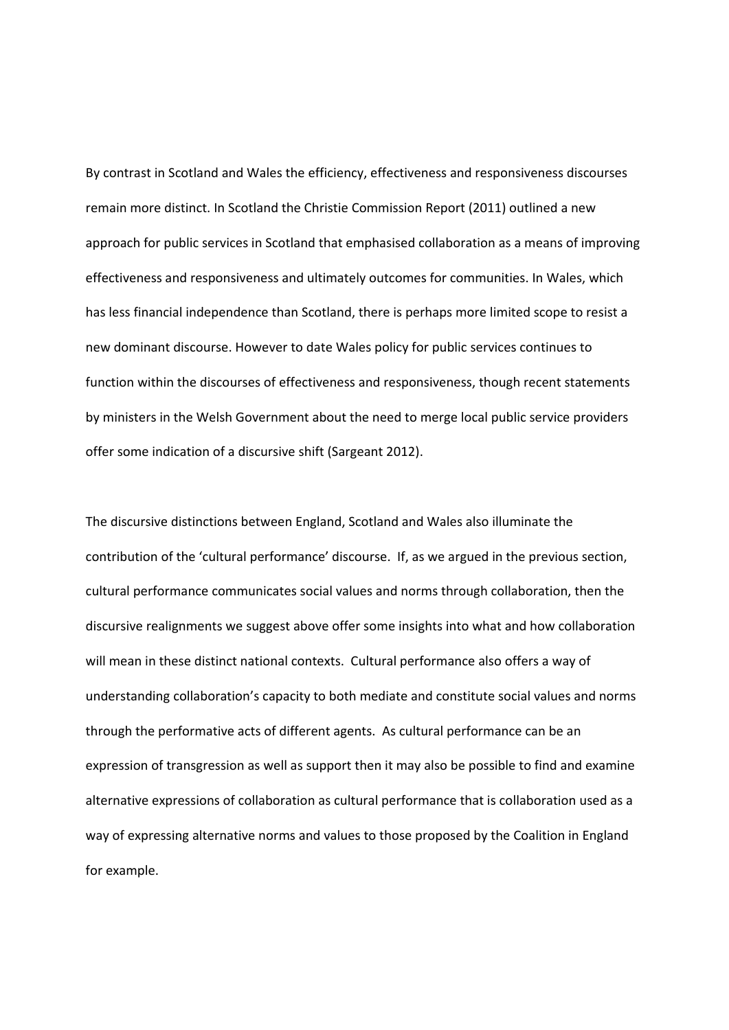By contrast in Scotland and Wales the efficiency, effectiveness and responsiveness discourses remain more distinct. In Scotland the Christie Commission Report (2011) outlined a new approach for public services in Scotland that emphasised collaboration as a means of improving effectiveness and responsiveness and ultimately outcomes for communities. In Wales, which has less financial independence than Scotland, there is perhaps more limited scope to resist a new dominant discourse. However to date Wales policy for public services continues to function within the discourses of effectiveness and responsiveness, though recent statements by ministers in the Welsh Government about the need to merge local public service providers offer some indication of a discursive shift (Sargeant 2012).

The discursive distinctions between England, Scotland and Wales also illuminate the contribution of the 'cultural performance' discourse. If, as we argued in the previous section, cultural performance communicates social values and norms through collaboration, then the discursive realignments we suggest above offer some insights into what and how collaboration will mean in these distinct national contexts. Cultural performance also offers a way of understanding collaboration's capacity to both mediate and constitute social values and norms through the performative acts of different agents. As cultural performance can be an expression of transgression as well as support then it may also be possible to find and examine alternative expressions of collaboration as cultural performance that is collaboration used as a way of expressing alternative norms and values to those proposed by the Coalition in England for example.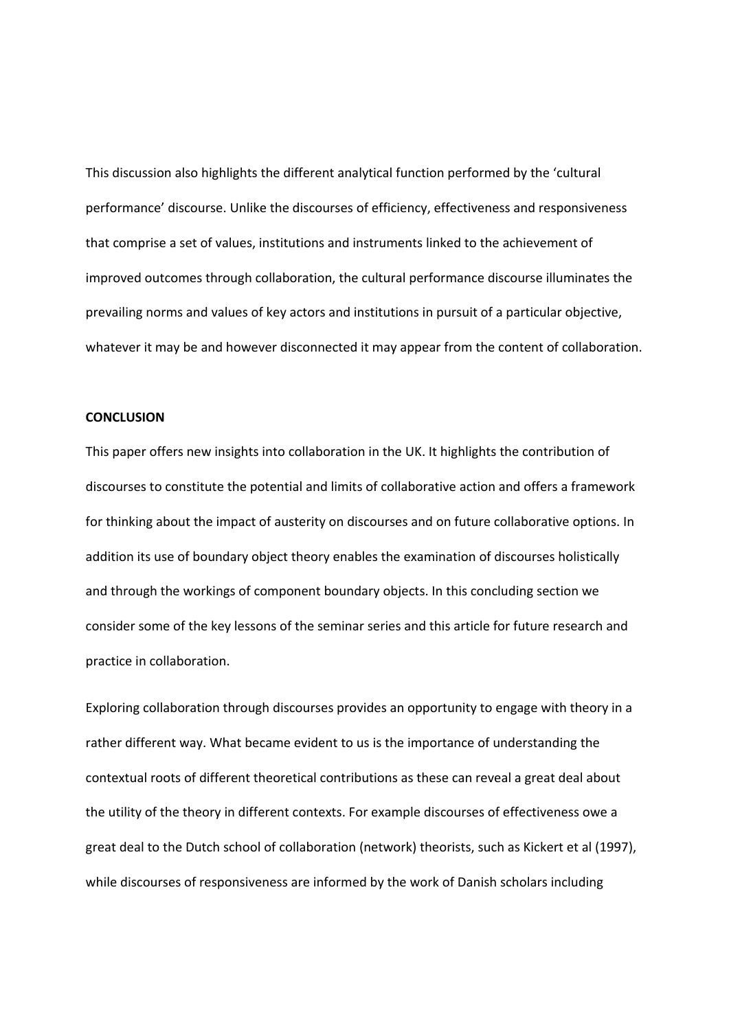This discussion also highlights the different analytical function performed by the 'cultural performance' discourse. Unlike the discourses of efficiency, effectiveness and responsiveness that comprise a set of values, institutions and instruments linked to the achievement of improved outcomes through collaboration, the cultural performance discourse illuminates the prevailing norms and values of key actors and institutions in pursuit of a particular objective, whatever it may be and however disconnected it may appear from the content of collaboration.

## **CONCLUSION**

This paper offers new insights into collaboration in the UK. It highlights the contribution of discourses to constitute the potential and limits of collaborative action and offers a framework for thinking about the impact of austerity on discourses and on future collaborative options. In addition its use of boundary object theory enables the examination of discourses holistically and through the workings of component boundary objects. In this concluding section we consider some of the key lessons of the seminar series and this article for future research and practice in collaboration.

Exploring collaboration through discourses provides an opportunity to engage with theory in a rather different way. What became evident to us is the importance of understanding the contextual roots of different theoretical contributions as these can reveal a great deal about the utility of the theory in different contexts. For example discourses of effectiveness owe a great deal to the Dutch school of collaboration (network) theorists, such as Kickert et al (1997), while discourses of responsiveness are informed by the work of Danish scholars including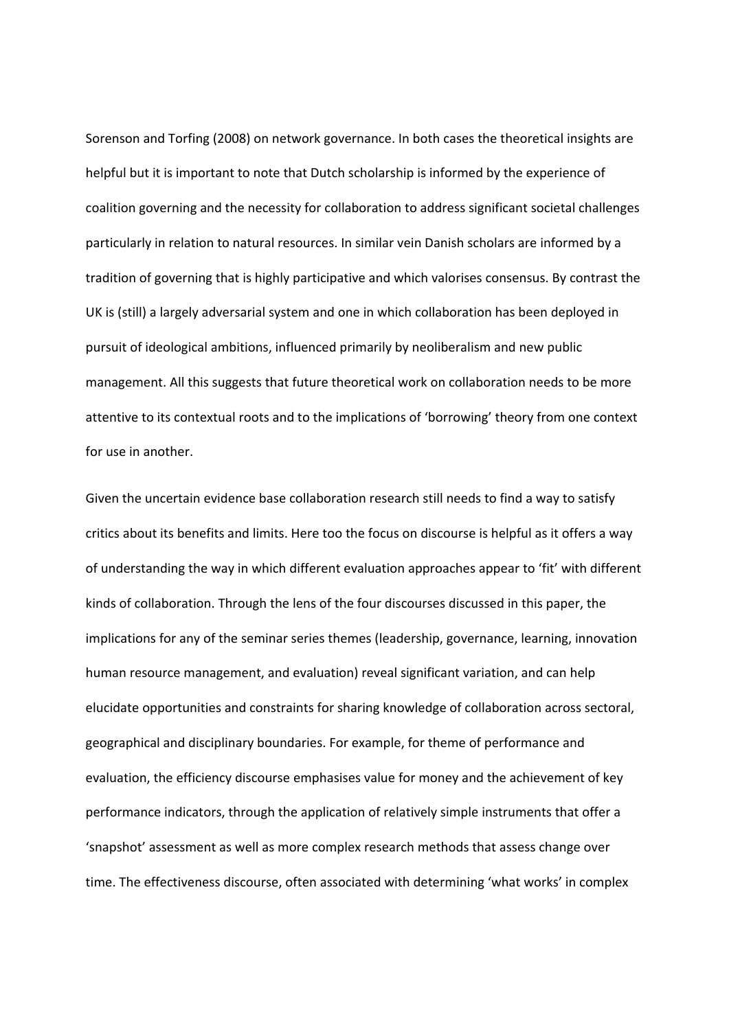Sorenson and Torfing (2008) on network governance. In both cases the theoretical insights are helpful but it is important to note that Dutch scholarship is informed by the experience of coalition governing and the necessity for collaboration to address significant societal challenges particularly in relation to natural resources. In similar vein Danish scholars are informed by a tradition of governing that is highly participative and which valorises consensus. By contrast the UK is (still) a largely adversarial system and one in which collaboration has been deployed in pursuit of ideological ambitions, influenced primarily by neoliberalism and new public management. All this suggests that future theoretical work on collaboration needs to be more attentive to its contextual roots and to the implications of 'borrowing' theory from one context for use in another.

Given the uncertain evidence base collaboration research still needs to find a way to satisfy critics about its benefits and limits. Here too the focus on discourse is helpful as it offers a way of understanding the way in which different evaluation approaches appear to 'fit' with different kinds of collaboration. Through the lens of the four discourses discussed in this paper, the implications for any of the seminar series themes (leadership, governance, learning, innovation human resource management, and evaluation) reveal significant variation, and can help elucidate opportunities and constraints for sharing knowledge of collaboration across sectoral, geographical and disciplinary boundaries. For example, for theme of performance and evaluation, the efficiency discourse emphasises value for money and the achievement of key performance indicators, through the application of relatively simple instruments that offer a 'snapshot' assessment as well as more complex research methods that assess change over time. The effectiveness discourse, often associated with determining 'what works' in complex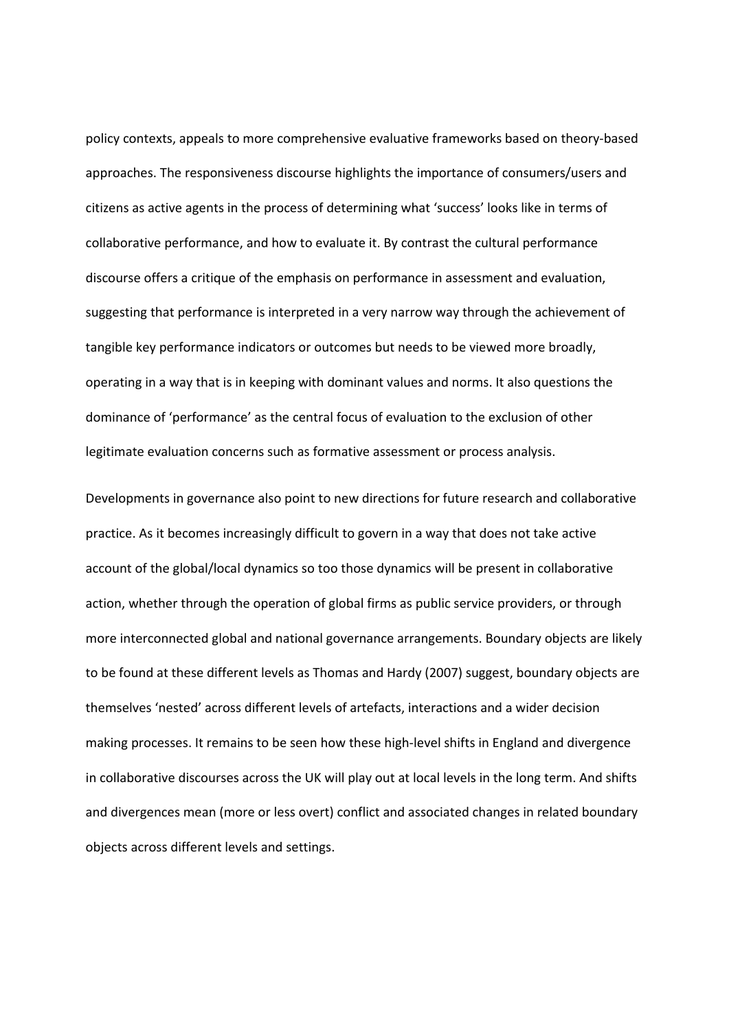policy contexts, appeals to more comprehensive evaluative frameworks based on theory‐based approaches. The responsiveness discourse highlights the importance of consumers/users and citizens as active agents in the process of determining what 'success' looks like in terms of collaborative performance, and how to evaluate it. By contrast the cultural performance discourse offers a critique of the emphasis on performance in assessment and evaluation, suggesting that performance is interpreted in a very narrow way through the achievement of tangible key performance indicators or outcomes but needs to be viewed more broadly, operating in a way that is in keeping with dominant values and norms. It also questions the dominance of 'performance' as the central focus of evaluation to the exclusion of other legitimate evaluation concerns such as formative assessment or process analysis.

Developments in governance also point to new directions for future research and collaborative practice. As it becomes increasingly difficult to govern in a way that does not take active account of the global/local dynamics so too those dynamics will be present in collaborative action, whether through the operation of global firms as public service providers, or through more interconnected global and national governance arrangements. Boundary objects are likely to be found at these different levels as Thomas and Hardy (2007) suggest, boundary objects are themselves 'nested' across different levels of artefacts, interactions and a wider decision making processes. It remains to be seen how these high‐level shifts in England and divergence in collaborative discourses across the UK will play out at local levels in the long term. And shifts and divergences mean (more or less overt) conflict and associated changes in related boundary objects across different levels and settings.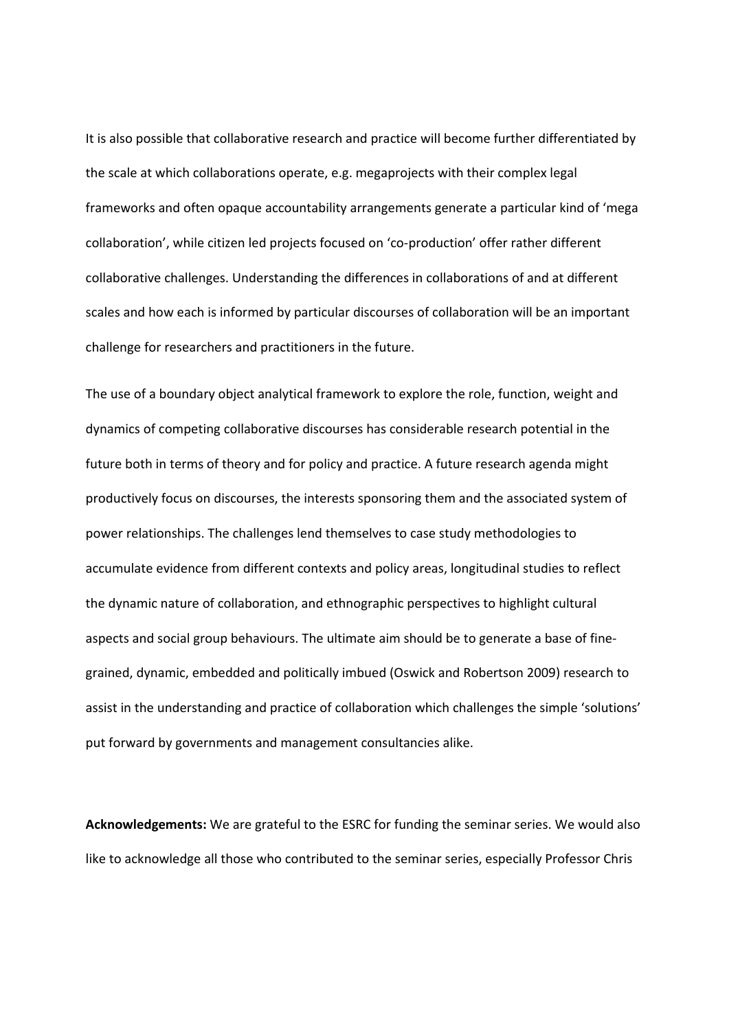It is also possible that collaborative research and practice will become further differentiated by the scale at which collaborations operate, e.g. megaprojects with their complex legal frameworks and often opaque accountability arrangements generate a particular kind of 'mega collaboration', while citizen led projects focused on 'co‐production' offer rather different collaborative challenges. Understanding the differences in collaborations of and at different scales and how each is informed by particular discourses of collaboration will be an important challenge for researchers and practitioners in the future.

The use of a boundary object analytical framework to explore the role, function, weight and dynamics of competing collaborative discourses has considerable research potential in the future both in terms of theory and for policy and practice. A future research agenda might productively focus on discourses, the interests sponsoring them and the associated system of power relationships. The challenges lend themselves to case study methodologies to accumulate evidence from different contexts and policy areas, longitudinal studies to reflect the dynamic nature of collaboration, and ethnographic perspectives to highlight cultural aspects and social group behaviours. The ultimate aim should be to generate a base of fine‐ grained, dynamic, embedded and politically imbued (Oswick and Robertson 2009) research to assist in the understanding and practice of collaboration which challenges the simple 'solutions' put forward by governments and management consultancies alike.

**Acknowledgements:** We are grateful to the ESRC for funding the seminar series. We would also like to acknowledge all those who contributed to the seminar series, especially Professor Chris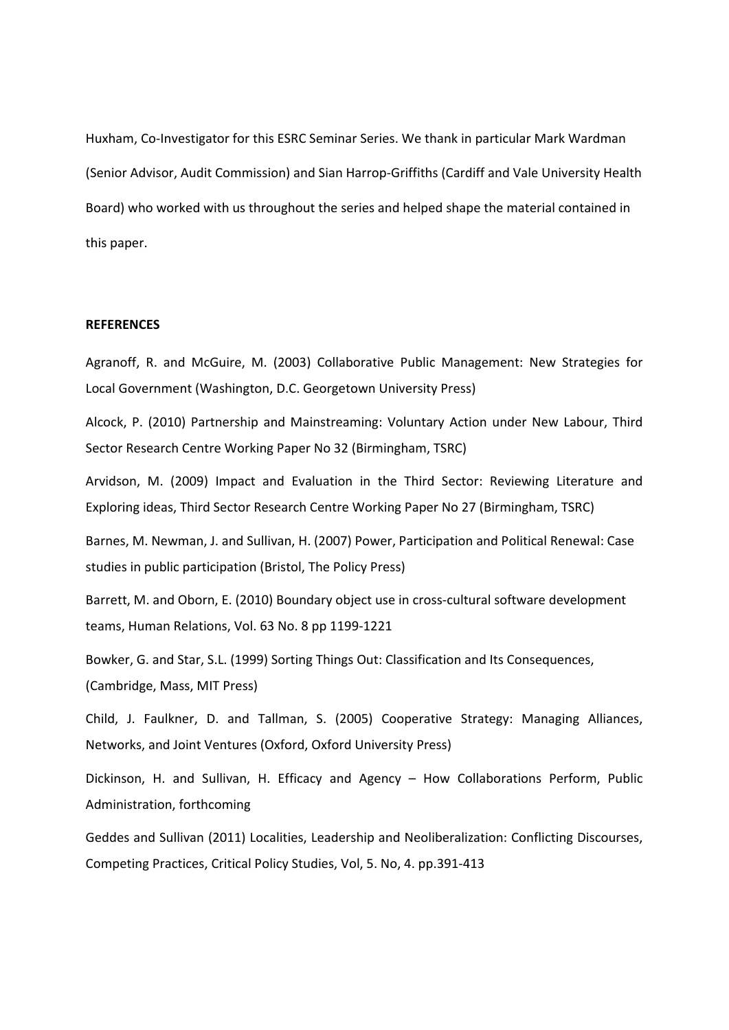Huxham, Co‐Investigator for this ESRC Seminar Series. We thank in particular Mark Wardman (Senior Advisor, Audit Commission) and Sian Harrop‐Griffiths (Cardiff and Vale University Health Board) who worked with us throughout the series and helped shape the material contained in this paper.

### **REFERENCES**

Agranoff, R. and McGuire, M. (2003) Collaborative Public Management: New Strategies for Local Government (Washington, D.C. Georgetown University Press)

Alcock, P. (2010) Partnership and Mainstreaming: Voluntary Action under New Labour, Third Sector Research Centre Working Paper No 32 (Birmingham, TSRC)

Arvidson, M. (2009) Impact and Evaluation in the Third Sector: Reviewing Literature and Exploring ideas, Third Sector Research Centre Working Paper No 27 (Birmingham, TSRC)

Barnes, M. Newman, J. and Sullivan, H. (2007) Power, Participation and Political Renewal: Case studies in public participation (Bristol, The Policy Press)

Barrett, M. and Oborn, E. (2010) Boundary object use in cross-cultural software development teams, Human Relations, Vol. 63 No. 8 pp 1199‐1221

Bowker, G. and Star, S.L. (1999) Sorting Things Out: Classification and Its Consequences, (Cambridge, Mass, MIT Press)

Child, J. Faulkner, D. and Tallman, S. (2005) Cooperative Strategy: Managing Alliances, Networks, and Joint Ventures (Oxford, Oxford University Press)

Dickinson, H. and Sullivan, H. Efficacy and Agency – How Collaborations Perform, Public Administration, forthcoming

Geddes and Sullivan (2011) Localities, Leadership and Neoliberalization: Conflicting Discourses, Competing Practices, Critical Policy Studies, Vol, 5. No, 4. pp.391‐413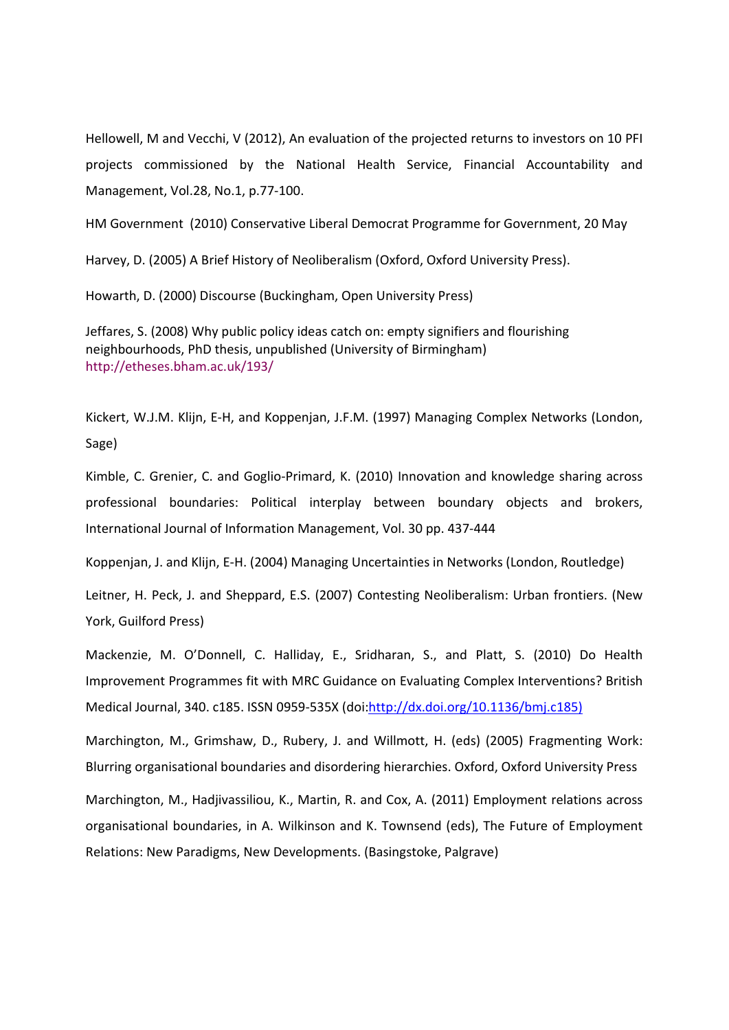Hellowell, M and Vecchi, V (2012), An evaluation of the projected returns to investors on 10 PFI projects commissioned by the National Health Service, Financial Accountability and Management, Vol.28, No.1, p.77‐100.

HM Government (2010) Conservative Liberal Democrat Programme for Government, 20 May

Harvey, D. (2005) A Brief History of Neoliberalism (Oxford, Oxford University Press).

Howarth, D. (2000) Discourse (Buckingham, Open University Press)

Jeffares, S. (2008) Why public policy ideas catch on: empty signifiers and flourishing neighbourhoods, PhD thesis, unpublished (University of Birmingham) http://etheses.bham.ac.uk/193/

Kickert, W.J.M. Klijn, E‐H, and Koppenjan, J.F.M. (1997) Managing Complex Networks (London, Sage)

Kimble, C. Grenier, C. and Goglio‐Primard, K. (2010) Innovation and knowledge sharing across professional boundaries: Political interplay between boundary objects and brokers, International Journal of Information Management, Vol. 30 pp. 437‐444

Koppenjan, J. and Klijn, E‐H. (2004) Managing Uncertainties in Networks (London, Routledge)

Leitner, H. Peck, J. and Sheppard, E.S. (2007) Contesting Neoliberalism: Urban frontiers. (New York, Guilford Press)

Mackenzie, M. O'Donnell, C. Halliday, E., Sridharan, S., and Platt, S. (2010) Do Health Improvement Programmes fit with MRC Guidance on Evaluating Complex Interventions? British Medical Journal, 340. c185. ISSN 0959‐535X (doi:http://dx.doi.org/10.1136/bmj.c185)

Marchington, M., Grimshaw, D., Rubery, J. and Willmott, H. (eds) (2005) Fragmenting Work: Blurring organisational boundaries and disordering hierarchies. Oxford, Oxford University Press

Marchington, M., Hadjivassiliou, K., Martin, R. and Cox, A. (2011) Employment relations across organisational boundaries, in A. Wilkinson and K. Townsend (eds), The Future of Employment Relations: New Paradigms, New Developments. (Basingstoke, Palgrave)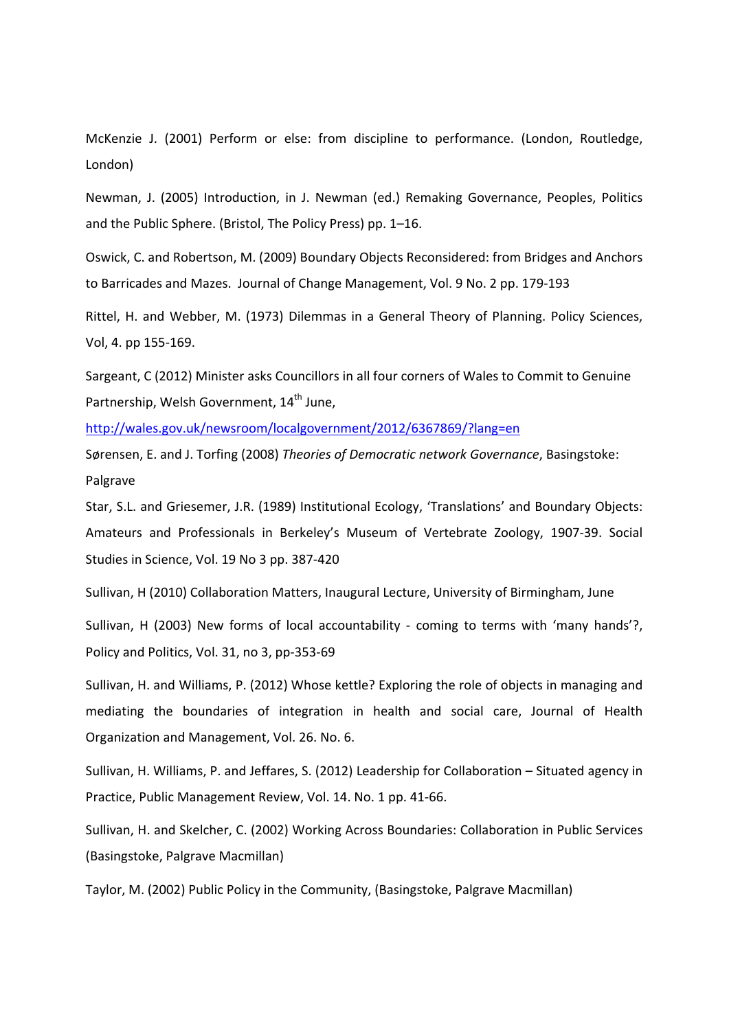McKenzie J. (2001) Perform or else: from discipline to performance. (London, Routledge, London)

Newman, J. (2005) Introduction, in J. Newman (ed.) Remaking Governance, Peoples, Politics and the Public Sphere. (Bristol, The Policy Press) pp. 1–16.

Oswick, C. and Robertson, M. (2009) Boundary Objects Reconsidered: from Bridges and Anchors to Barricades and Mazes. Journal of Change Management, Vol. 9 No. 2 pp. 179‐193

Rittel, H. and Webber, M. (1973) Dilemmas in a General Theory of Planning. Policy Sciences, Vol, 4. pp 155‐169.

Sargeant, C (2012) Minister asks Councillors in all four corners of Wales to Commit to Genuine Partnership, Welsh Government, 14<sup>th</sup> June,

http://wales.gov.uk/newsroom/localgovernment/2012/6367869/?lang=en

Sørensen, E. and J. Torfing (2008) *Theories of Democratic network Governance*, Basingstoke: Palgrave

Star, S.L. and Griesemer, J.R. (1989) Institutional Ecology, 'Translations' and Boundary Objects: Amateurs and Professionals in Berkeley's Museum of Vertebrate Zoology, 1907‐39. Social Studies in Science, Vol. 19 No 3 pp. 387‐420

Sullivan, H (2010) Collaboration Matters, Inaugural Lecture, University of Birmingham, June

Sullivan, H (2003) New forms of local accountability - coming to terms with 'many hands'?, Policy and Politics, Vol. 31, no 3, pp‐353‐69

Sullivan, H. and Williams, P. (2012) Whose kettle? Exploring the role of objects in managing and mediating the boundaries of integration in health and social care, Journal of Health Organization and Management, Vol. 26. No. 6.

Sullivan, H. Williams, P. and Jeffares, S. (2012) Leadership for Collaboration – Situated agency in Practice, Public Management Review, Vol. 14. No. 1 pp. 41‐66.

Sullivan, H. and Skelcher, C. (2002) Working Across Boundaries: Collaboration in Public Services (Basingstoke, Palgrave Macmillan)

Taylor, M. (2002) Public Policy in the Community, (Basingstoke, Palgrave Macmillan)